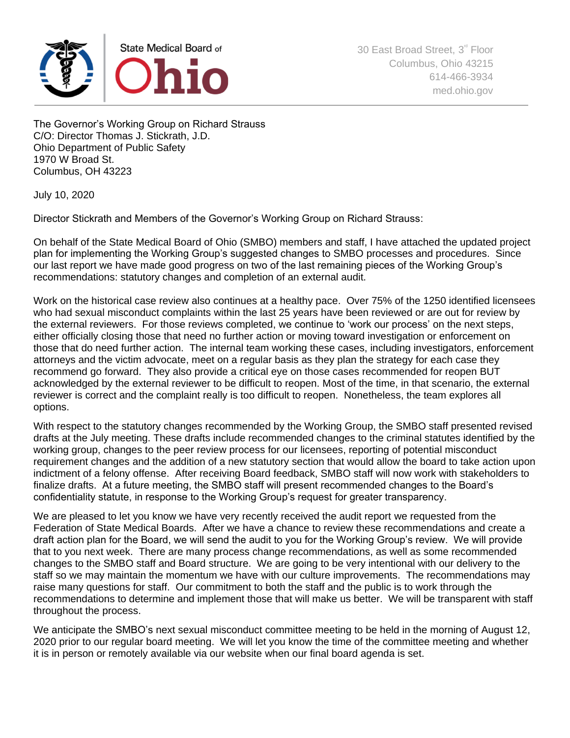

The Governor's Working Group on Richard Strauss C/O: Director Thomas J. Stickrath, J.D. Ohio Department of Public Safety 1970 W Broad St. Columbus, OH 43223

July 10, 2020

Director Stickrath and Members of the Governor's Working Group on Richard Strauss:

On behalf of the State Medical Board of Ohio (SMBO) members and staff, I have attached the updated project plan for implementing the Working Group's suggested changes to SMBO processes and procedures. Since our last report we have made good progress on two of the last remaining pieces of the Working Group's recommendations: statutory changes and completion of an external audit.

Work on the historical case review also continues at a healthy pace. Over 75% of the 1250 identified licensees who had sexual misconduct complaints within the last 25 years have been reviewed or are out for review by the external reviewers. For those reviews completed, we continue to 'work our process' on the next steps, either officially closing those that need no further action or moving toward investigation or enforcement on those that do need further action. The internal team working these cases, including investigators, enforcement attorneys and the victim advocate, meet on a regular basis as they plan the strategy for each case they recommend go forward. They also provide a critical eye on those cases recommended for reopen BUT acknowledged by the external reviewer to be difficult to reopen. Most of the time, in that scenario, the external reviewer is correct and the complaint really is too difficult to reopen. Nonetheless, the team explores all options.

With respect to the statutory changes recommended by the Working Group, the SMBO staff presented revised drafts at the July meeting. These drafts include recommended changes to the criminal statutes identified by the working group, changes to the peer review process for our licensees, reporting of potential misconduct requirement changes and the addition of a new statutory section that would allow the board to take action upon indictment of a felony offense. After receiving Board feedback, SMBO staff will now work with stakeholders to finalize drafts. At a future meeting, the SMBO staff will present recommended changes to the Board's confidentiality statute, in response to the Working Group's request for greater transparency.

We are pleased to let you know we have very recently received the audit report we requested from the Federation of State Medical Boards. After we have a chance to review these recommendations and create a draft action plan for the Board, we will send the audit to you for the Working Group's review. We will provide that to you next week. There are many process change recommendations, as well as some recommended changes to the SMBO staff and Board structure. We are going to be very intentional with our delivery to the staff so we may maintain the momentum we have with our culture improvements. The recommendations may raise many questions for staff. Our commitment to both the staff and the public is to work through the recommendations to determine and implement those that will make us better. We will be transparent with staff throughout the process.

We anticipate the SMBO's next sexual misconduct committee meeting to be held in the morning of August 12, 2020 prior to our regular board meeting. We will let you know the time of the committee meeting and whether it is in person or remotely available via our website when our final board agenda is set.